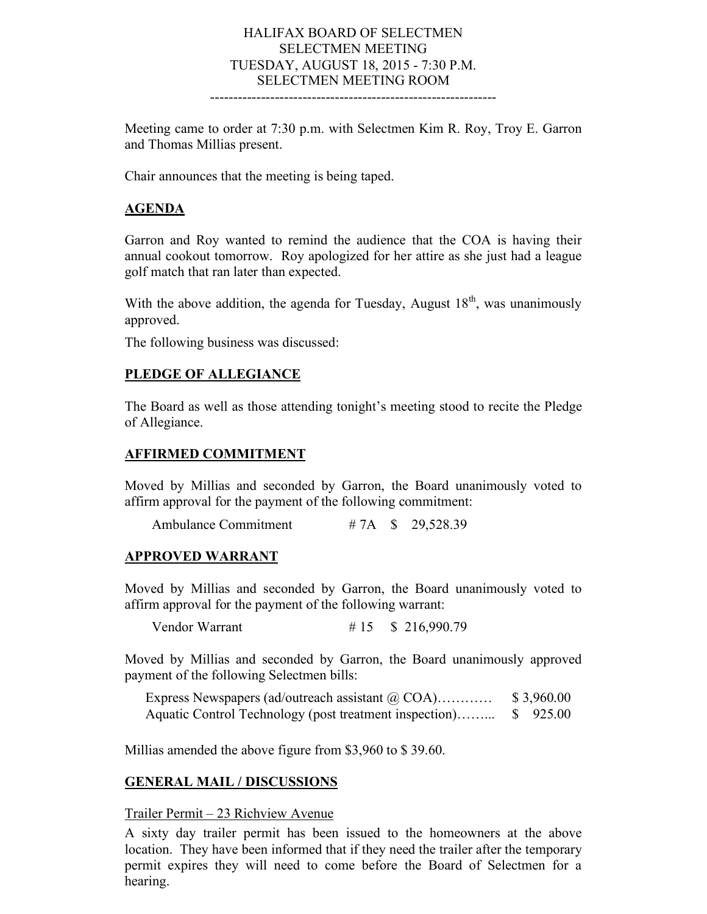## HALIFAX BOARD OF SELECTMEN SELECTMEN MEETING TUESDAY, AUGUST 18, 2015 - 7:30 P.M. SELECTMEN MEETING ROOM

Meeting came to order at 7:30 p.m. with Selectmen Kim R. Roy, Troy E. Garron and Thomas Millias present.

--------------------------------------------------------------

Chair announces that the meeting is being taped.

### **AGENDA**

Garron and Roy wanted to remind the audience that the COA is having their annual cookout tomorrow. Roy apologized for her attire as she just had a league golf match that ran later than expected.

With the above addition, the agenda for Tuesday, August  $18<sup>th</sup>$ , was unanimously approved.

The following business was discussed:

### **PLEDGE OF ALLEGIANCE**

The Board as well as those attending tonight's meeting stood to recite the Pledge of Allegiance.

### **AFFIRMED COMMITMENT**

Moved by Millias and seconded by Garron, the Board unanimously voted to affirm approval for the payment of the following commitment:

Ambulance Commitment # 7A \, \, \$ 29,528.39

### **APPROVED WARRANT**

Moved by Millias and seconded by Garron, the Board unanimously voted to affirm approval for the payment of the following warrant:

Vendor Warrant # 15 \$ 216,990.79

Moved by Millias and seconded by Garron, the Board unanimously approved payment of the following Selectmen bills:

Express Newspapers (ad/outreach assistant @ COA)............ \$3,960.00 Aquatic Control Technology (post treatment inspection)……... \$ 925.00

Millias amended the above figure from \$3,960 to \$ 39.60.

#### **GENERAL MAIL / DISCUSSIONS**

#### Trailer Permit – 23 Richview Avenue

A sixty day trailer permit has been issued to the homeowners at the above location. They have been informed that if they need the trailer after the temporary permit expires they will need to come before the Board of Selectmen for a hearing.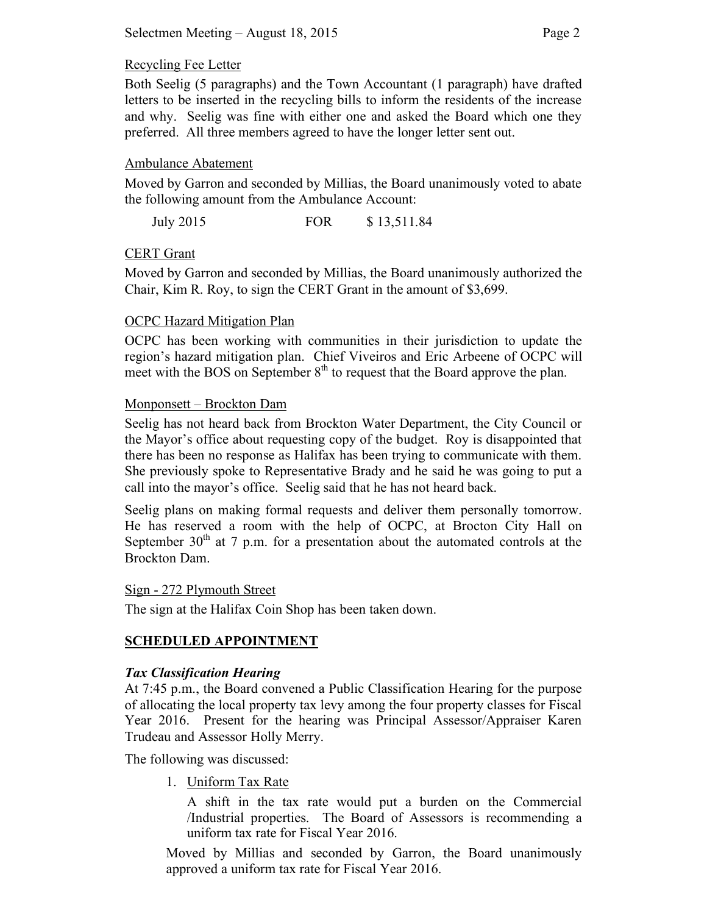## Recycling Fee Letter

Both Seelig (5 paragraphs) and the Town Accountant (1 paragraph) have drafted letters to be inserted in the recycling bills to inform the residents of the increase and why. Seelig was fine with either one and asked the Board which one they preferred. All three members agreed to have the longer letter sent out.

## Ambulance Abatement

Moved by Garron and seconded by Millias, the Board unanimously voted to abate the following amount from the Ambulance Account:

July 2015 FOR \$ 13,511.84

## CERT Grant

Moved by Garron and seconded by Millias, the Board unanimously authorized the Chair, Kim R. Roy, to sign the CERT Grant in the amount of \$3,699.

## OCPC Hazard Mitigation Plan

OCPC has been working with communities in their jurisdiction to update the region's hazard mitigation plan. Chief Viveiros and Eric Arbeene of OCPC will meet with the BOS on September  $8<sup>th</sup>$  to request that the Board approve the plan.

### Monponsett – Brockton Dam

Seelig has not heard back from Brockton Water Department, the City Council or the Mayor's office about requesting copy of the budget. Roy is disappointed that there has been no response as Halifax has been trying to communicate with them. She previously spoke to Representative Brady and he said he was going to put a call into the mayor's office. Seelig said that he has not heard back.

Seelig plans on making formal requests and deliver them personally tomorrow. He has reserved a room with the help of OCPC, at Brocton City Hall on September  $30<sup>th</sup>$  at 7 p.m. for a presentation about the automated controls at the Brockton Dam.

### Sign - 272 Plymouth Street

The sign at the Halifax Coin Shop has been taken down.

# **SCHEDULED APPOINTMENT**

## *Tax Classification Hearing*

At 7:45 p.m., the Board convened a Public Classification Hearing for the purpose of allocating the local property tax levy among the four property classes for Fiscal Year 2016. Present for the hearing was Principal Assessor/Appraiser Karen Trudeau and Assessor Holly Merry.

The following was discussed:

1. Uniform Tax Rate

A shift in the tax rate would put a burden on the Commercial /Industrial properties. The Board of Assessors is recommending a uniform tax rate for Fiscal Year 2016.

Moved by Millias and seconded by Garron, the Board unanimously approved a uniform tax rate for Fiscal Year 2016.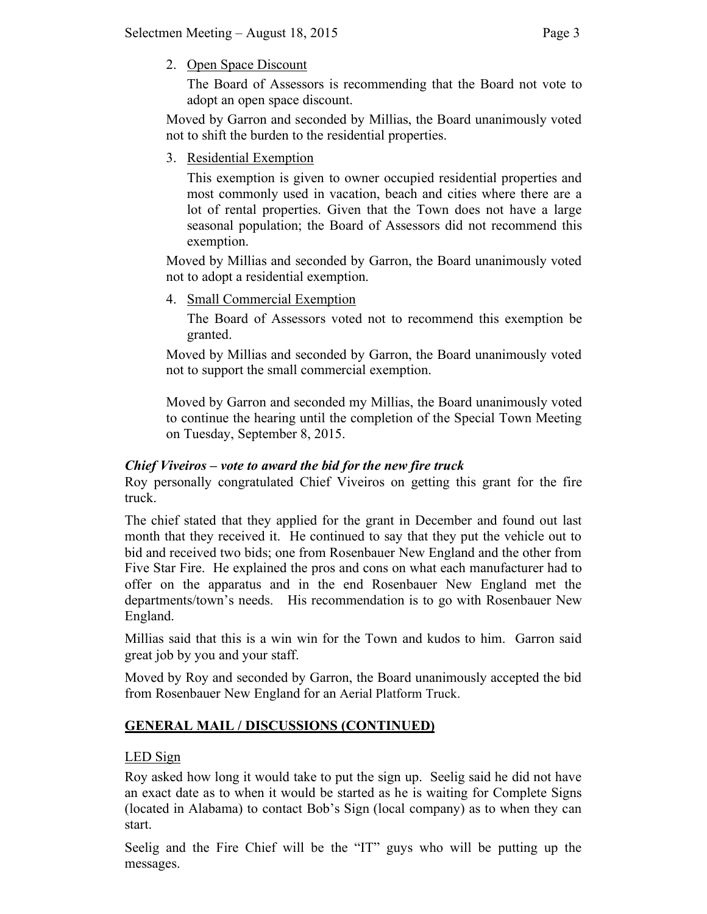2. Open Space Discount

The Board of Assessors is recommending that the Board not vote to adopt an open space discount.

Moved by Garron and seconded by Millias, the Board unanimously voted not to shift the burden to the residential properties.

3. Residential Exemption

This exemption is given to owner occupied residential properties and most commonly used in vacation, beach and cities where there are a lot of rental properties. Given that the Town does not have a large seasonal population; the Board of Assessors did not recommend this exemption.

Moved by Millias and seconded by Garron, the Board unanimously voted not to adopt a residential exemption.

4. Small Commercial Exemption

The Board of Assessors voted not to recommend this exemption be granted.

Moved by Millias and seconded by Garron, the Board unanimously voted not to support the small commercial exemption.

Moved by Garron and seconded my Millias, the Board unanimously voted to continue the hearing until the completion of the Special Town Meeting on Tuesday, September 8, 2015.

# *Chief Viveiros – vote to award the bid for the new fire truck*

Roy personally congratulated Chief Viveiros on getting this grant for the fire truck.

The chief stated that they applied for the grant in December and found out last month that they received it. He continued to say that they put the vehicle out to bid and received two bids; one from Rosenbauer New England and the other from Five Star Fire. He explained the pros and cons on what each manufacturer had to offer on the apparatus and in the end Rosenbauer New England met the departments/town's needs. His recommendation is to go with Rosenbauer New England.

Millias said that this is a win win for the Town and kudos to him. Garron said great job by you and your staff.

Moved by Roy and seconded by Garron, the Board unanimously accepted the bid from Rosenbauer New England for an Aerial Platform Truck.

# **GENERAL MAIL / DISCUSSIONS (CONTINUED)**

# LED Sign

Roy asked how long it would take to put the sign up. Seelig said he did not have an exact date as to when it would be started as he is waiting for Complete Signs (located in Alabama) to contact Bob's Sign (local company) as to when they can start.

Seelig and the Fire Chief will be the "IT" guys who will be putting up the messages.